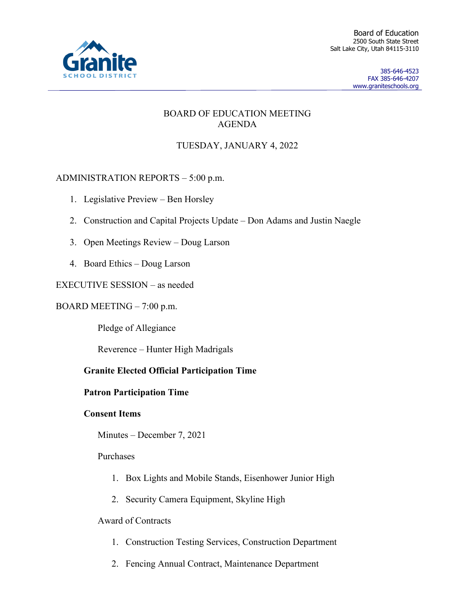

Board of Education 2500 South State Street Salt Lake City, Utah 84115-3110

> 385-646-4523 FAX 385-646-4207 www.graniteschools.org

## BOARD OF EDUCATION MEETING AGENDA

# TUESDAY, JANUARY 4, 2022

# ADMINISTRATION REPORTS – 5:00 p.m.

- 1. Legislative Preview Ben Horsley
- 2. Construction and Capital Projects Update Don Adams and Justin Naegle
- 3. Open Meetings Review Doug Larson
- 4. Board Ethics Doug Larson

## EXECUTIVE SESSION – as needed

#### BOARD MEETING – 7:00 p.m.

Pledge of Allegiance

Reverence – Hunter High Madrigals

## **Granite Elected Official Participation Time**

## **Patron Participation Time**

## **Consent Items**

Minutes – December 7, 2021

## Purchases

- 1. Box Lights and Mobile Stands, Eisenhower Junior High
- 2. Security Camera Equipment, Skyline High

## Award of Contracts

- 1. Construction Testing Services, Construction Department
- 2. Fencing Annual Contract, Maintenance Department